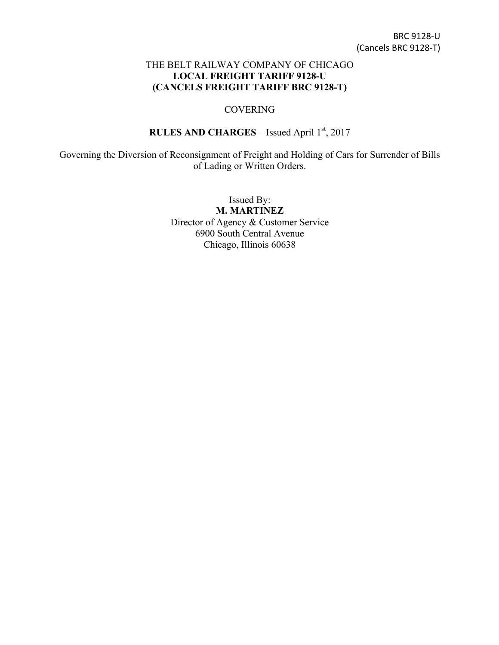## THE BELT RAILWAY COMPANY OF CHICAGO **LOCAL FREIGHT TARIFF 9128-U (CANCELS FREIGHT TARIFF BRC 9128-T)**

## COVERING

## **RULES AND CHARGES** – Issued April 1st, 2017

Governing the Diversion of Reconsignment of Freight and Holding of Cars for Surrender of Bills of Lading or Written Orders.

> Issued By: **M. MARTINEZ** Director of Agency & Customer Service 6900 South Central Avenue Chicago, Illinois 60638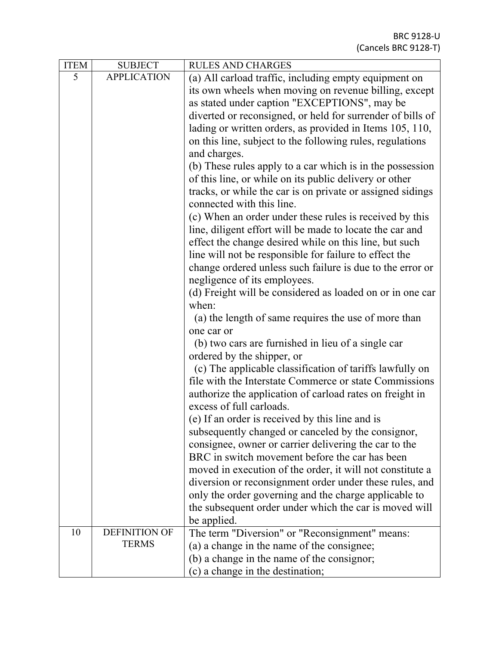| <b>ITEM</b> | <b>SUBJECT</b>       | <b>RULES AND CHARGES</b>                                   |
|-------------|----------------------|------------------------------------------------------------|
| 5           | <b>APPLICATION</b>   | (a) All carload traffic, including empty equipment on      |
|             |                      | its own wheels when moving on revenue billing, except      |
|             |                      | as stated under caption "EXCEPTIONS", may be               |
|             |                      | diverted or reconsigned, or held for surrender of bills of |
|             |                      | lading or written orders, as provided in Items 105, 110,   |
|             |                      | on this line, subject to the following rules, regulations  |
|             |                      | and charges.                                               |
|             |                      | (b) These rules apply to a car which is in the possession  |
|             |                      | of this line, or while on its public delivery or other     |
|             |                      | tracks, or while the car is on private or assigned sidings |
|             |                      | connected with this line.                                  |
|             |                      | (c) When an order under these rules is received by this    |
|             |                      | line, diligent effort will be made to locate the car and   |
|             |                      | effect the change desired while on this line, but such     |
|             |                      | line will not be responsible for failure to effect the     |
|             |                      | change ordered unless such failure is due to the error or  |
|             |                      | negligence of its employees.                               |
|             |                      | (d) Freight will be considered as loaded on or in one car  |
|             |                      | when:                                                      |
|             |                      | (a) the length of same requires the use of more than       |
|             |                      | one car or                                                 |
|             |                      | (b) two cars are furnished in lieu of a single car         |
|             |                      | ordered by the shipper, or                                 |
|             |                      | (c) The applicable classification of tariffs lawfully on   |
|             |                      | file with the Interstate Commerce or state Commissions     |
|             |                      | authorize the application of carload rates on freight in   |
|             |                      | excess of full carloads.                                   |
|             |                      | (e) If an order is received by this line and is            |
|             |                      | subsequently changed or canceled by the consignor,         |
|             |                      | consignee, owner or carrier delivering the car to the      |
|             |                      | BRC in switch movement before the car has been             |
|             |                      | moved in execution of the order, it will not constitute a  |
|             |                      | diversion or reconsignment order under these rules, and    |
|             |                      | only the order governing and the charge applicable to      |
|             |                      | the subsequent order under which the car is moved will     |
| 10          | <b>DEFINITION OF</b> | be applied.                                                |
|             | <b>TERMS</b>         | The term "Diversion" or "Reconsignment" means:             |
|             |                      | (a) a change in the name of the consignee;                 |
|             |                      | (b) a change in the name of the consignor;                 |
|             |                      | (c) a change in the destination;                           |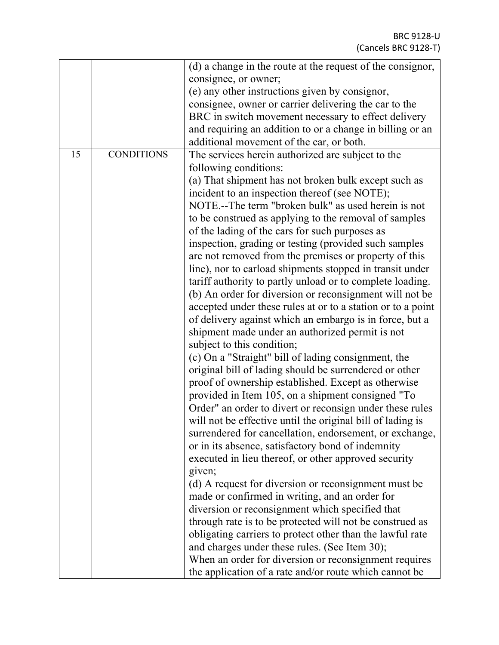|    |                   | (d) a change in the route at the request of the consignor,  |
|----|-------------------|-------------------------------------------------------------|
|    |                   | consignee, or owner;                                        |
|    |                   | (e) any other instructions given by consignor,              |
|    |                   | consignee, owner or carrier delivering the car to the       |
|    |                   | BRC in switch movement necessary to effect delivery         |
|    |                   | and requiring an addition to or a change in billing or an   |
|    |                   | additional movement of the car, or both.                    |
| 15 | <b>CONDITIONS</b> | The services herein authorized are subject to the           |
|    |                   |                                                             |
|    |                   | following conditions:                                       |
|    |                   | (a) That shipment has not broken bulk except such as        |
|    |                   | incident to an inspection thereof (see NOTE);               |
|    |                   | NOTE.--The term "broken bulk" as used herein is not         |
|    |                   | to be construed as applying to the removal of samples       |
|    |                   | of the lading of the cars for such purposes as              |
|    |                   | inspection, grading or testing (provided such samples       |
|    |                   | are not removed from the premises or property of this       |
|    |                   | line), nor to carload shipments stopped in transit under    |
|    |                   | tariff authority to partly unload or to complete loading.   |
|    |                   | (b) An order for diversion or reconsignment will not be     |
|    |                   | accepted under these rules at or to a station or to a point |
|    |                   | of delivery against which an embargo is in force, but a     |
|    |                   | shipment made under an authorized permit is not             |
|    |                   |                                                             |
|    |                   | subject to this condition;                                  |
|    |                   | (c) On a "Straight" bill of lading consignment, the         |
|    |                   | original bill of lading should be surrendered or other      |
|    |                   | proof of ownership established. Except as otherwise         |
|    |                   | provided in Item 105, on a shipment consigned "To           |
|    |                   | Order" an order to divert or reconsign under these rules    |
|    |                   | will not be effective until the original bill of lading is  |
|    |                   | surrendered for cancellation, endorsement, or exchange,     |
|    |                   | or in its absence, satisfactory bond of indemnity           |
|    |                   | executed in lieu thereof, or other approved security        |
|    |                   | given;                                                      |
|    |                   | (d) A request for diversion or reconsignment must be        |
|    |                   | made or confirmed in writing, and an order for              |
|    |                   | diversion or reconsignment which specified that             |
|    |                   |                                                             |
|    |                   | through rate is to be protected will not be construed as    |
|    |                   | obligating carriers to protect other than the lawful rate   |
|    |                   | and charges under these rules. (See Item 30);               |
|    |                   | When an order for diversion or reconsignment requires       |
|    |                   | the application of a rate and/or route which cannot be      |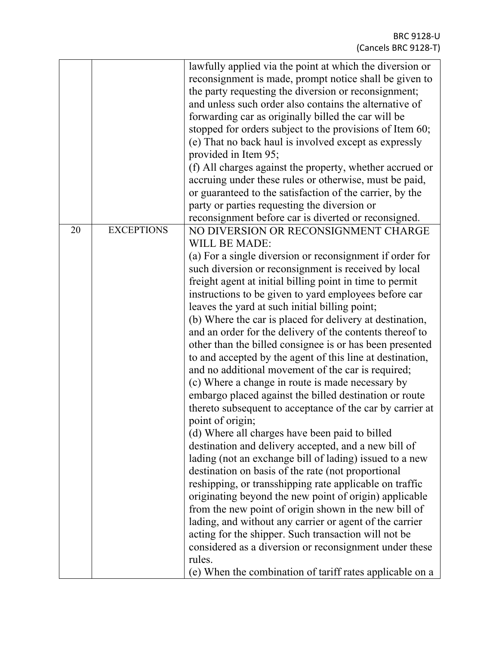|    |                   | lawfully applied via the point at which the diversion or<br>reconsignment is made, prompt notice shall be given to<br>the party requesting the diversion or reconsignment;<br>and unless such order also contains the alternative of<br>forwarding car as originally billed the car will be<br>stopped for orders subject to the provisions of Item 60;<br>(e) That no back haul is involved except as expressly<br>provided in Item 95;<br>(f) All charges against the property, whether accrued or<br>accruing under these rules or otherwise, must be paid,<br>or guaranteed to the satisfaction of the carrier, by the<br>party or parties requesting the diversion or<br>reconsignment before car is diverted or reconsigned.                                                                                                                                                                                                                                                                                                                                                                                                                                                                                                                                                                                                                                                                                                                                                                                        |
|----|-------------------|---------------------------------------------------------------------------------------------------------------------------------------------------------------------------------------------------------------------------------------------------------------------------------------------------------------------------------------------------------------------------------------------------------------------------------------------------------------------------------------------------------------------------------------------------------------------------------------------------------------------------------------------------------------------------------------------------------------------------------------------------------------------------------------------------------------------------------------------------------------------------------------------------------------------------------------------------------------------------------------------------------------------------------------------------------------------------------------------------------------------------------------------------------------------------------------------------------------------------------------------------------------------------------------------------------------------------------------------------------------------------------------------------------------------------------------------------------------------------------------------------------------------------|
| 20 | <b>EXCEPTIONS</b> | NO DIVERSION OR RECONSIGNMENT CHARGE<br><b>WILL BE MADE:</b><br>(a) For a single diversion or reconsignment if order for<br>such diversion or reconsignment is received by local<br>freight agent at initial billing point in time to permit<br>instructions to be given to yard employees before car<br>leaves the yard at such initial billing point;<br>(b) Where the car is placed for delivery at destination,<br>and an order for the delivery of the contents thereof to<br>other than the billed consignee is or has been presented<br>to and accepted by the agent of this line at destination,<br>and no additional movement of the car is required;<br>(c) Where a change in route is made necessary by<br>embargo placed against the billed destination or route<br>thereto subsequent to acceptance of the car by carrier at<br>point of origin;<br>(d) Where all charges have been paid to billed<br>destination and delivery accepted, and a new bill of<br>lading (not an exchange bill of lading) issued to a new<br>destination on basis of the rate (not proportional<br>reshipping, or transshipping rate applicable on traffic<br>originating beyond the new point of origin) applicable<br>from the new point of origin shown in the new bill of<br>lading, and without any carrier or agent of the carrier<br>acting for the shipper. Such transaction will not be<br>considered as a diversion or reconsignment under these<br>rules.<br>(e) When the combination of tariff rates applicable on a |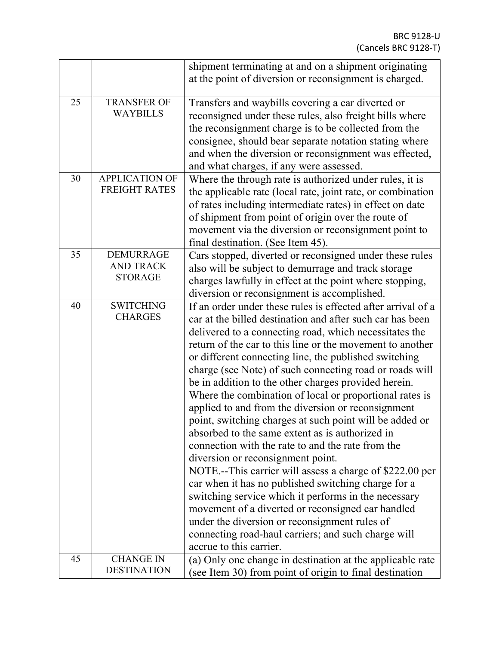|    |                                      | shipment terminating at and on a shipment originating        |
|----|--------------------------------------|--------------------------------------------------------------|
|    |                                      | at the point of diversion or reconsignment is charged.       |
|    |                                      |                                                              |
| 25 | <b>TRANSFER OF</b>                   | Transfers and waybills covering a car diverted or            |
|    | <b>WAYBILLS</b>                      | reconsigned under these rules, also freight bills where      |
|    |                                      | the reconsignment charge is to be collected from the         |
|    |                                      | consignee, should bear separate notation stating where       |
|    |                                      | and when the diversion or reconsignment was effected,        |
|    |                                      | and what charges, if any were assessed.                      |
| 30 | <b>APPLICATION OF</b>                | Where the through rate is authorized under rules, it is      |
|    | <b>FREIGHT RATES</b>                 | the applicable rate (local rate, joint rate, or combination  |
|    |                                      |                                                              |
|    |                                      | of rates including intermediate rates) in effect on date     |
|    |                                      | of shipment from point of origin over the route of           |
|    |                                      | movement via the diversion or reconsignment point to         |
|    |                                      | final destination. (See Item 45).                            |
| 35 | <b>DEMURRAGE</b><br><b>AND TRACK</b> | Cars stopped, diverted or reconsigned under these rules      |
|    | <b>STORAGE</b>                       | also will be subject to demurrage and track storage          |
|    |                                      | charges lawfully in effect at the point where stopping,      |
|    |                                      | diversion or reconsignment is accomplished.                  |
| 40 | <b>SWITCHING</b>                     | If an order under these rules is effected after arrival of a |
|    | <b>CHARGES</b>                       | car at the billed destination and after such car has been    |
|    |                                      | delivered to a connecting road, which necessitates the       |
|    |                                      | return of the car to this line or the movement to another    |
|    |                                      | or different connecting line, the published switching        |
|    |                                      | charge (see Note) of such connecting road or roads will      |
|    |                                      | be in addition to the other charges provided herein.         |
|    |                                      | Where the combination of local or proportional rates is      |
|    |                                      | applied to and from the diversion or reconsignment           |
|    |                                      | point, switching charges at such point will be added or      |
|    |                                      | absorbed to the same extent as is authorized in              |
|    |                                      | connection with the rate to and the rate from the            |
|    |                                      | diversion or reconsignment point.                            |
|    |                                      | NOTE.--This carrier will assess a charge of \$222.00 per     |
|    |                                      | car when it has no published switching charge for a          |
|    |                                      | switching service which it performs in the necessary         |
|    |                                      | movement of a diverted or reconsigned car handled            |
|    |                                      |                                                              |
|    |                                      | under the diversion or reconsignment rules of                |
|    |                                      | connecting road-haul carriers; and such charge will          |
|    |                                      | accrue to this carrier.                                      |
| 45 | <b>CHANGE IN</b>                     | (a) Only one change in destination at the applicable rate    |
|    | <b>DESTINATION</b>                   | (see Item 30) from point of origin to final destination      |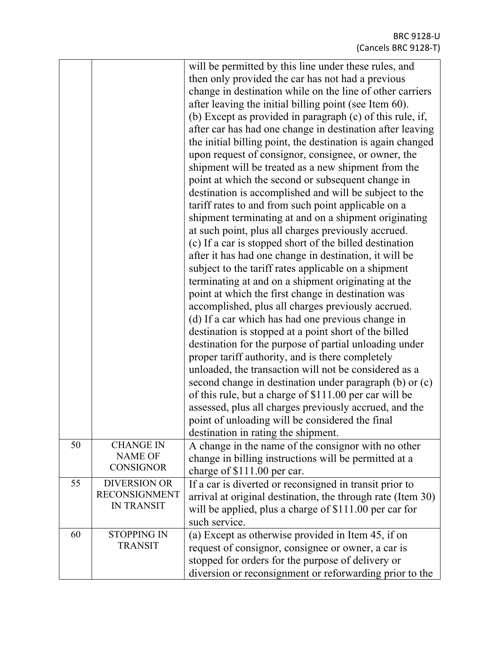| 50 | <b>CHANGE IN</b><br><b>NAME OF</b>                               | will be permitted by this line under these rules, and<br>then only provided the car has not had a previous<br>change in destination while on the line of other carriers<br>after leaving the initial billing point (see Item 60).<br>(b) Except as provided in paragraph (c) of this rule, if,<br>after car has had one change in destination after leaving<br>the initial billing point, the destination is again changed<br>upon request of consignor, consignee, or owner, the<br>shipment will be treated as a new shipment from the<br>point at which the second or subsequent change in<br>destination is accomplished and will be subject to the<br>tariff rates to and from such point applicable on a<br>shipment terminating at and on a shipment originating<br>at such point, plus all charges previously accrued.<br>(c) If a car is stopped short of the billed destination<br>after it has had one change in destination, it will be<br>subject to the tariff rates applicable on a shipment<br>terminating at and on a shipment originating at the<br>point at which the first change in destination was<br>accomplished, plus all charges previously accrued.<br>(d) If a car which has had one previous change in<br>destination is stopped at a point short of the billed<br>destination for the purpose of partial unloading under<br>proper tariff authority, and is there completely<br>unloaded, the transaction will not be considered as a<br>second change in destination under paragraph (b) or (c)<br>of this rule, but a charge of \$111.00 per car will be<br>assessed, plus all charges previously accrued, and the<br>point of unloading will be considered the final<br>destination in rating the shipment.<br>A change in the name of the consignor with no other |
|----|------------------------------------------------------------------|-----------------------------------------------------------------------------------------------------------------------------------------------------------------------------------------------------------------------------------------------------------------------------------------------------------------------------------------------------------------------------------------------------------------------------------------------------------------------------------------------------------------------------------------------------------------------------------------------------------------------------------------------------------------------------------------------------------------------------------------------------------------------------------------------------------------------------------------------------------------------------------------------------------------------------------------------------------------------------------------------------------------------------------------------------------------------------------------------------------------------------------------------------------------------------------------------------------------------------------------------------------------------------------------------------------------------------------------------------------------------------------------------------------------------------------------------------------------------------------------------------------------------------------------------------------------------------------------------------------------------------------------------------------------------------------------------------------------------------------------------------------------------------------------------------|
|    | <b>CONSIGNOR</b>                                                 | change in billing instructions will be permitted at a<br>charge of \$111.00 per car.                                                                                                                                                                                                                                                                                                                                                                                                                                                                                                                                                                                                                                                                                                                                                                                                                                                                                                                                                                                                                                                                                                                                                                                                                                                                                                                                                                                                                                                                                                                                                                                                                                                                                                                |
| 55 | <b>DIVERSION OR</b><br><b>RECONSIGNMENT</b><br><b>IN TRANSIT</b> | If a car is diverted or reconsigned in transit prior to<br>arrival at original destination, the through rate (Item 30)<br>will be applied, plus a charge of \$111.00 per car for<br>such service.                                                                                                                                                                                                                                                                                                                                                                                                                                                                                                                                                                                                                                                                                                                                                                                                                                                                                                                                                                                                                                                                                                                                                                                                                                                                                                                                                                                                                                                                                                                                                                                                   |
| 60 | <b>STOPPING IN</b><br><b>TRANSIT</b>                             | (a) Except as otherwise provided in Item 45, if on<br>request of consignor, consignee or owner, a car is<br>stopped for orders for the purpose of delivery or<br>diversion or reconsignment or reforwarding prior to the                                                                                                                                                                                                                                                                                                                                                                                                                                                                                                                                                                                                                                                                                                                                                                                                                                                                                                                                                                                                                                                                                                                                                                                                                                                                                                                                                                                                                                                                                                                                                                            |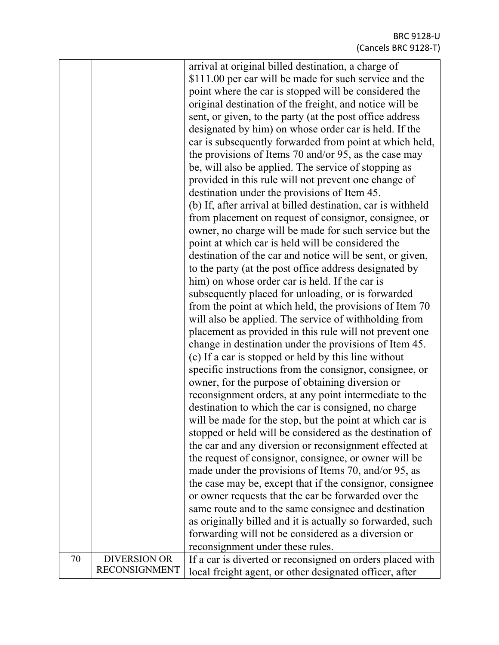|    |                      | arrival at original billed destination, a charge of          |
|----|----------------------|--------------------------------------------------------------|
|    |                      | \$111.00 per car will be made for such service and the       |
|    |                      | point where the car is stopped will be considered the        |
|    |                      | original destination of the freight, and notice will be      |
|    |                      | sent, or given, to the party (at the post office address     |
|    |                      |                                                              |
|    |                      | designated by him) on whose order car is held. If the        |
|    |                      | car is subsequently forwarded from point at which held,      |
|    |                      | the provisions of Items 70 and/or 95, as the case may        |
|    |                      | be, will also be applied. The service of stopping as         |
|    |                      | provided in this rule will not prevent one change of         |
|    |                      | destination under the provisions of Item 45.                 |
|    |                      | (b) If, after arrival at billed destination, car is withheld |
|    |                      | from placement on request of consignor, consignee, or        |
|    |                      | owner, no charge will be made for such service but the       |
|    |                      | point at which car is held will be considered the            |
|    |                      | destination of the car and notice will be sent, or given,    |
|    |                      | to the party (at the post office address designated by       |
|    |                      | him) on whose order car is held. If the car is               |
|    |                      | subsequently placed for unloading, or is forwarded           |
|    |                      | from the point at which held, the provisions of Item 70      |
|    |                      | will also be applied. The service of withholding from        |
|    |                      | placement as provided in this rule will not prevent one      |
|    |                      |                                                              |
|    |                      | change in destination under the provisions of Item 45.       |
|    |                      | (c) If a car is stopped or held by this line without         |
|    |                      | specific instructions from the consignor, consignee, or      |
|    |                      | owner, for the purpose of obtaining diversion or             |
|    |                      | reconsignment orders, at any point intermediate to the       |
|    |                      | destination to which the car is consigned, no charge         |
|    |                      | will be made for the stop, but the point at which car is     |
|    |                      | stopped or held will be considered as the destination of     |
|    |                      | the car and any diversion or reconsignment effected at       |
|    |                      | the request of consignor, consignee, or owner will be        |
|    |                      | made under the provisions of Items 70, and/or 95, as         |
|    |                      | the case may be, except that if the consignor, consignee     |
|    |                      | or owner requests that the car be forwarded over the         |
|    |                      | same route and to the same consignee and destination         |
|    |                      | as originally billed and it is actually so forwarded, such   |
|    |                      |                                                              |
|    |                      | forwarding will not be considered as a diversion or          |
|    |                      | reconsignment under these rules.                             |
| 70 | <b>DIVERSION OR</b>  | If a car is diverted or reconsigned on orders placed with    |
|    | <b>RECONSIGNMENT</b> | local freight agent, or other designated officer, after      |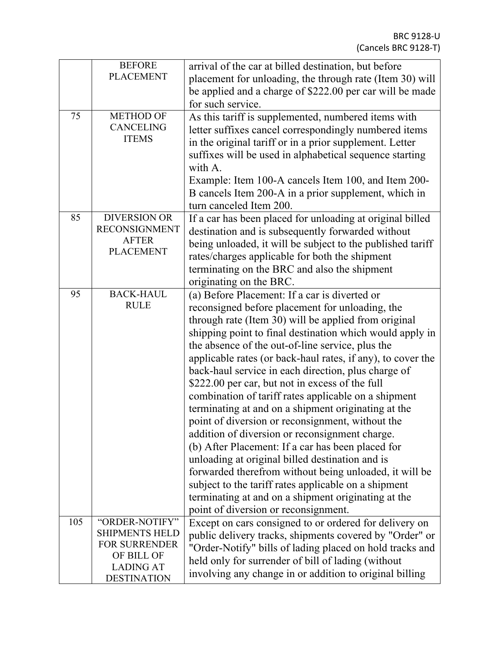|     | <b>BEFORE</b>                          | arrival of the car at billed destination, but before        |
|-----|----------------------------------------|-------------------------------------------------------------|
|     | <b>PLACEMENT</b>                       | placement for unloading, the through rate (Item 30) will    |
|     |                                        | be applied and a charge of \$222.00 per car will be made    |
|     |                                        | for such service.                                           |
| 75  | <b>METHOD OF</b>                       | As this tariff is supplemented, numbered items with         |
|     | <b>CANCELING</b>                       | letter suffixes cancel correspondingly numbered items       |
|     | <b>ITEMS</b>                           | in the original tariff or in a prior supplement. Letter     |
|     |                                        | suffixes will be used in alphabetical sequence starting     |
|     |                                        | with A.                                                     |
|     |                                        | Example: Item 100-A cancels Item 100, and Item 200-         |
|     |                                        | B cancels Item 200-A in a prior supplement, which in        |
|     |                                        | turn canceled Item 200.                                     |
| 85  | <b>DIVERSION OR</b>                    | If a car has been placed for unloading at original billed   |
|     | <b>RECONSIGNMENT</b>                   | destination and is subsequently forwarded without           |
|     | <b>AFTER</b>                           | being unloaded, it will be subject to the published tariff  |
|     | <b>PLACEMENT</b>                       | rates/charges applicable for both the shipment              |
|     |                                        | terminating on the BRC and also the shipment                |
|     |                                        | originating on the BRC.                                     |
| 95  | <b>BACK-HAUL</b>                       | (a) Before Placement: If a car is diverted or               |
|     | <b>RULE</b>                            |                                                             |
|     |                                        | reconsigned before placement for unloading, the             |
|     |                                        | through rate (Item 30) will be applied from original        |
|     |                                        | shipping point to final destination which would apply in    |
|     |                                        | the absence of the out-of-line service, plus the            |
|     |                                        | applicable rates (or back-haul rates, if any), to cover the |
|     |                                        | back-haul service in each direction, plus charge of         |
|     |                                        | \$222.00 per car, but not in excess of the full             |
|     |                                        | combination of tariff rates applicable on a shipment        |
|     |                                        | terminating at and on a shipment originating at the         |
|     |                                        | point of diversion or reconsignment, without the            |
|     |                                        | addition of diversion or reconsignment charge.              |
|     |                                        | (b) After Placement: If a car has been placed for           |
|     |                                        | unloading at original billed destination and is             |
|     |                                        | forwarded therefrom without being unloaded, it will be      |
|     |                                        | subject to the tariff rates applicable on a shipment        |
|     |                                        | terminating at and on a shipment originating at the         |
|     |                                        | point of diversion or reconsignment.                        |
| 105 | "ORDER-NOTIFY"                         | Except on cars consigned to or ordered for delivery on      |
|     | <b>SHIPMENTS HELD</b>                  | public delivery tracks, shipments covered by "Order" or     |
|     | <b>FOR SURRENDER</b>                   | "Order-Notify" bills of lading placed on hold tracks and    |
|     | OF BILL OF                             | held only for surrender of bill of lading (without          |
|     | <b>LADING AT</b><br><b>DESTINATION</b> | involving any change in or addition to original billing     |
|     |                                        |                                                             |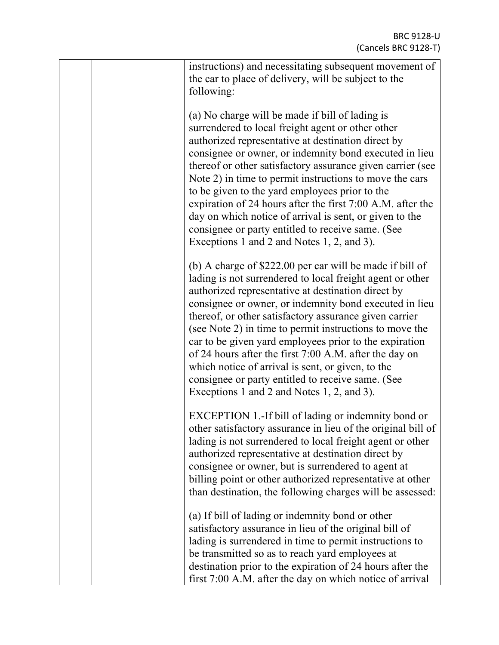|  | instructions) and necessitating subsequent movement of<br>the car to place of delivery, will be subject to the<br>following:                                                                                                                                                                                                                                                                                                                                                                                                                                                                                                           |
|--|----------------------------------------------------------------------------------------------------------------------------------------------------------------------------------------------------------------------------------------------------------------------------------------------------------------------------------------------------------------------------------------------------------------------------------------------------------------------------------------------------------------------------------------------------------------------------------------------------------------------------------------|
|  | (a) No charge will be made if bill of lading is<br>surrendered to local freight agent or other other<br>authorized representative at destination direct by<br>consignee or owner, or indemnity bond executed in lieu<br>thereof or other satisfactory assurance given carrier (see<br>Note 2) in time to permit instructions to move the cars<br>to be given to the yard employees prior to the<br>expiration of 24 hours after the first 7:00 A.M. after the<br>day on which notice of arrival is sent, or given to the<br>consignee or party entitled to receive same. (See<br>Exceptions 1 and 2 and Notes 1, 2, and 3).            |
|  | (b) A charge of \$222.00 per car will be made if bill of<br>lading is not surrendered to local freight agent or other<br>authorized representative at destination direct by<br>consignee or owner, or indemnity bond executed in lieu<br>thereof, or other satisfactory assurance given carrier<br>(see Note 2) in time to permit instructions to move the<br>car to be given yard employees prior to the expiration<br>of 24 hours after the first 7:00 A.M. after the day on<br>which notice of arrival is sent, or given, to the<br>consignee or party entitled to receive same. (See<br>Exceptions 1 and 2 and Notes 1, 2, and 3). |
|  | EXCEPTION 1.-If bill of lading or indemnity bond or<br>other satisfactory assurance in lieu of the original bill of<br>lading is not surrendered to local freight agent or other<br>authorized representative at destination direct by<br>consignee or owner, but is surrendered to agent at<br>billing point or other authorized representative at other<br>than destination, the following charges will be assessed:                                                                                                                                                                                                                 |
|  | (a) If bill of lading or indemnity bond or other<br>satisfactory assurance in lieu of the original bill of<br>lading is surrendered in time to permit instructions to<br>be transmitted so as to reach yard employees at<br>destination prior to the expiration of 24 hours after the<br>first 7:00 A.M. after the day on which notice of arrival                                                                                                                                                                                                                                                                                      |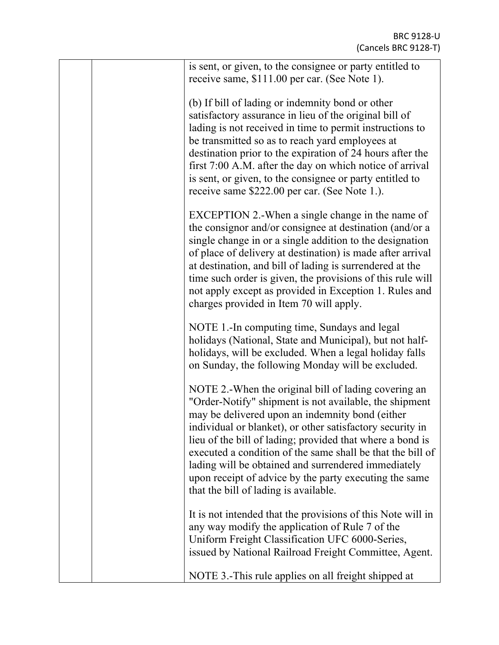| is sent, or given, to the consignee or party entitled to<br>receive same, \$111.00 per car. (See Note 1).                                                                                                                                                                                                                                                                                                                                                                                                           |
|---------------------------------------------------------------------------------------------------------------------------------------------------------------------------------------------------------------------------------------------------------------------------------------------------------------------------------------------------------------------------------------------------------------------------------------------------------------------------------------------------------------------|
| (b) If bill of lading or indemnity bond or other<br>satisfactory assurance in lieu of the original bill of<br>lading is not received in time to permit instructions to<br>be transmitted so as to reach yard employees at<br>destination prior to the expiration of 24 hours after the<br>first 7:00 A.M. after the day on which notice of arrival<br>is sent, or given, to the consignee or party entitled to<br>receive same \$222.00 per car. (See Note 1.).                                                     |
| EXCEPTION 2.-When a single change in the name of<br>the consignor and/or consignee at destination (and/or a<br>single change in or a single addition to the designation<br>of place of delivery at destination) is made after arrival<br>at destination, and bill of lading is surrendered at the<br>time such order is given, the provisions of this rule will<br>not apply except as provided in Exception 1. Rules and<br>charges provided in Item 70 will apply.                                                |
| NOTE 1.-In computing time, Sundays and legal<br>holidays (National, State and Municipal), but not half-<br>holidays, will be excluded. When a legal holiday falls<br>on Sunday, the following Monday will be excluded.                                                                                                                                                                                                                                                                                              |
| NOTE 2.-When the original bill of lading covering an<br>"Order-Notify" shipment is not available, the shipment<br>may be delivered upon an indemnity bond (either<br>individual or blanket), or other satisfactory security in<br>lieu of the bill of lading; provided that where a bond is<br>executed a condition of the same shall be that the bill of<br>lading will be obtained and surrendered immediately<br>upon receipt of advice by the party executing the same<br>that the bill of lading is available. |
| It is not intended that the provisions of this Note will in<br>any way modify the application of Rule 7 of the<br>Uniform Freight Classification UFC 6000-Series,<br>issued by National Railroad Freight Committee, Agent.                                                                                                                                                                                                                                                                                          |
| NOTE 3.-This rule applies on all freight shipped at                                                                                                                                                                                                                                                                                                                                                                                                                                                                 |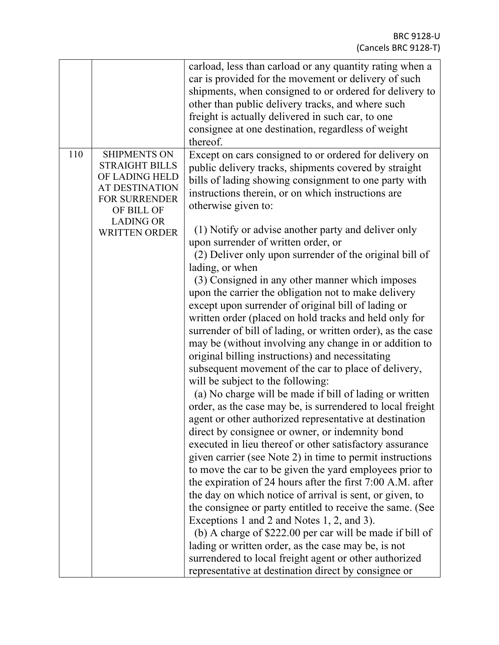|     |                                                                                                                                                                           | carload, less than carload or any quantity rating when a<br>car is provided for the movement or delivery of such<br>shipments, when consigned to or ordered for delivery to<br>other than public delivery tracks, and where such                                                                                                                                                                                                                                                                                                                                                                                                                                                                                                                                                                                                                                                                                                                                                                                                                                                                                                                                                                   |
|-----|---------------------------------------------------------------------------------------------------------------------------------------------------------------------------|----------------------------------------------------------------------------------------------------------------------------------------------------------------------------------------------------------------------------------------------------------------------------------------------------------------------------------------------------------------------------------------------------------------------------------------------------------------------------------------------------------------------------------------------------------------------------------------------------------------------------------------------------------------------------------------------------------------------------------------------------------------------------------------------------------------------------------------------------------------------------------------------------------------------------------------------------------------------------------------------------------------------------------------------------------------------------------------------------------------------------------------------------------------------------------------------------|
|     |                                                                                                                                                                           | freight is actually delivered in such car, to one                                                                                                                                                                                                                                                                                                                                                                                                                                                                                                                                                                                                                                                                                                                                                                                                                                                                                                                                                                                                                                                                                                                                                  |
|     |                                                                                                                                                                           | consignee at one destination, regardless of weight                                                                                                                                                                                                                                                                                                                                                                                                                                                                                                                                                                                                                                                                                                                                                                                                                                                                                                                                                                                                                                                                                                                                                 |
|     |                                                                                                                                                                           | thereof.                                                                                                                                                                                                                                                                                                                                                                                                                                                                                                                                                                                                                                                                                                                                                                                                                                                                                                                                                                                                                                                                                                                                                                                           |
| 110 | <b>SHIPMENTS ON</b><br><b>STRAIGHT BILLS</b><br>OF LADING HELD<br><b>AT DESTINATION</b><br><b>FOR SURRENDER</b><br>OF BILL OF<br><b>LADING OR</b><br><b>WRITTEN ORDER</b> | Except on cars consigned to or ordered for delivery on<br>public delivery tracks, shipments covered by straight<br>bills of lading showing consignment to one party with<br>instructions therein, or on which instructions are<br>otherwise given to:<br>(1) Notify or advise another party and deliver only<br>upon surrender of written order, or                                                                                                                                                                                                                                                                                                                                                                                                                                                                                                                                                                                                                                                                                                                                                                                                                                                |
|     |                                                                                                                                                                           | (2) Deliver only upon surrender of the original bill of<br>lading, or when<br>(3) Consigned in any other manner which imposes<br>upon the carrier the obligation not to make delivery<br>except upon surrender of original bill of lading or<br>written order (placed on hold tracks and held only for<br>surrender of bill of lading, or written order), as the case<br>may be (without involving any change in or addition to<br>original billing instructions) and necessitating<br>subsequent movement of the car to place of delivery,<br>will be subject to the following:<br>(a) No charge will be made if bill of lading or written<br>order, as the case may be, is surrendered to local freight<br>agent or other authorized representative at destination<br>direct by consignee or owner, or indemnity bond<br>executed in lieu thereof or other satisfactory assurance<br>given carrier (see Note 2) in time to permit instructions<br>to move the car to be given the yard employees prior to<br>the expiration of 24 hours after the first 7:00 A.M. after<br>the day on which notice of arrival is sent, or given, to<br>the consignee or party entitled to receive the same. (See |
|     |                                                                                                                                                                           | Exceptions 1 and 2 and Notes 1, 2, and 3).<br>(b) A charge of \$222.00 per car will be made if bill of<br>lading or written order, as the case may be, is not<br>surrendered to local freight agent or other authorized<br>representative at destination direct by consignee or                                                                                                                                                                                                                                                                                                                                                                                                                                                                                                                                                                                                                                                                                                                                                                                                                                                                                                                    |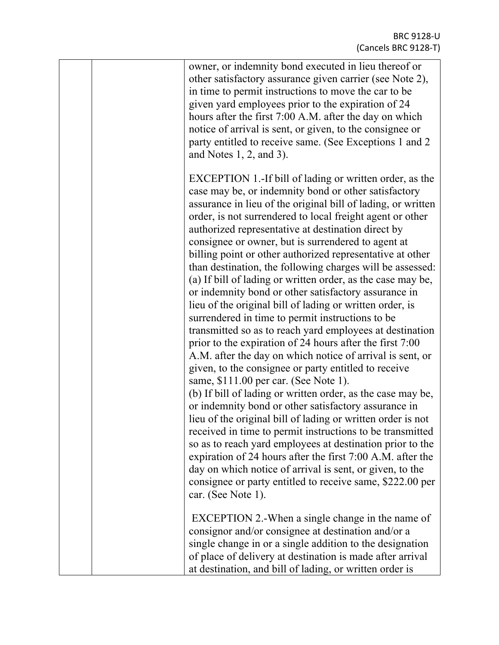| owner, or indemnity bond executed in lieu thereof or<br>other satisfactory assurance given carrier (see Note 2),<br>in time to permit instructions to move the car to be<br>given yard employees prior to the expiration of 24<br>hours after the first 7:00 A.M. after the day on which<br>notice of arrival is sent, or given, to the consignee or<br>party entitled to receive same. (See Exceptions 1 and 2)<br>and Notes $1, 2$ , and $3$ ).                                                                                                                                                                                                                                                                                                                                                                                                                                                                                                                                                                                                                                                                                                                                                                                                                                                                                                                                                                                                                                                                                            |
|----------------------------------------------------------------------------------------------------------------------------------------------------------------------------------------------------------------------------------------------------------------------------------------------------------------------------------------------------------------------------------------------------------------------------------------------------------------------------------------------------------------------------------------------------------------------------------------------------------------------------------------------------------------------------------------------------------------------------------------------------------------------------------------------------------------------------------------------------------------------------------------------------------------------------------------------------------------------------------------------------------------------------------------------------------------------------------------------------------------------------------------------------------------------------------------------------------------------------------------------------------------------------------------------------------------------------------------------------------------------------------------------------------------------------------------------------------------------------------------------------------------------------------------------|
| EXCEPTION 1.-If bill of lading or written order, as the<br>case may be, or indemnity bond or other satisfactory<br>assurance in lieu of the original bill of lading, or written<br>order, is not surrendered to local freight agent or other<br>authorized representative at destination direct by<br>consignee or owner, but is surrendered to agent at<br>billing point or other authorized representative at other<br>than destination, the following charges will be assessed:<br>(a) If bill of lading or written order, as the case may be,<br>or indemnity bond or other satisfactory assurance in<br>lieu of the original bill of lading or written order, is<br>surrendered in time to permit instructions to be<br>transmitted so as to reach yard employees at destination<br>prior to the expiration of 24 hours after the first 7:00<br>A.M. after the day on which notice of arrival is sent, or<br>given, to the consignee or party entitled to receive<br>same, \$111.00 per car. (See Note 1).<br>(b) If bill of lading or written order, as the case may be,<br>or indemnity bond or other satisfactory assurance in<br>lieu of the original bill of lading or written order is not<br>received in time to permit instructions to be transmitted<br>so as to reach yard employees at destination prior to the<br>expiration of 24 hours after the first 7:00 A.M. after the<br>day on which notice of arrival is sent, or given, to the<br>consignee or party entitled to receive same, \$222.00 per<br>car. (See Note 1). |
| EXCEPTION 2.-When a single change in the name of<br>consignor and/or consignee at destination and/or a<br>single change in or a single addition to the designation<br>of place of delivery at destination is made after arrival<br>at destination, and bill of lading, or written order is                                                                                                                                                                                                                                                                                                                                                                                                                                                                                                                                                                                                                                                                                                                                                                                                                                                                                                                                                                                                                                                                                                                                                                                                                                                   |